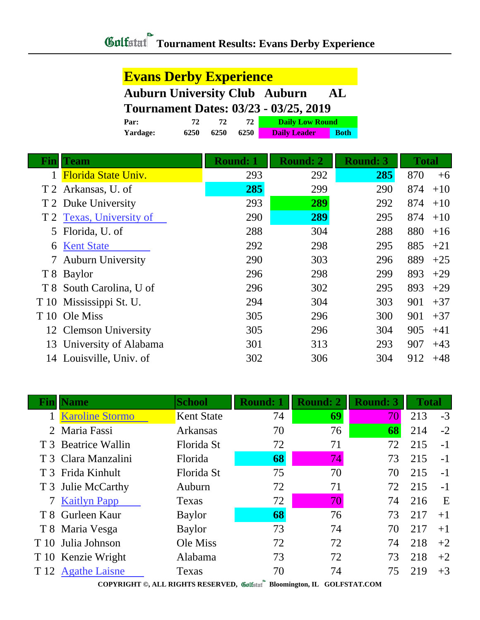### **Evans Derby Experience**

### **Auburn University Club Auburn AL Tournament Dates: 03/23 - 03/25, 2019**

| Tournament Dates: 03/23 - 03/25, 2019 |      |      |      |                        |             |  |
|---------------------------------------|------|------|------|------------------------|-------------|--|
| Par:                                  | 77   | 72.  | 72   | <b>Daily Low Round</b> |             |  |
| Yardage:                              | 6250 | 6250 | 6250 | <b>Daily Leader</b>    | <b>Both</b> |  |

| <b>Total</b> |
|--------------|
| 870<br>$+6$  |
| 874<br>$+10$ |
| 874<br>$+10$ |
| 874<br>$+10$ |
| 880<br>$+16$ |
| 885<br>$+21$ |
| 889<br>$+25$ |
| 893<br>$+29$ |
| 893<br>$+29$ |
| 901<br>$+37$ |
| 901<br>$+37$ |
| 905<br>$+41$ |
| 907<br>$+43$ |
| $+48$<br>912 |
|              |

|      | lame                   | <b>School</b>     | <b>Round: 1</b> | <b>Round: 2</b> | <b>Round: 3</b> | <b>Total</b> |      |
|------|------------------------|-------------------|-----------------|-----------------|-----------------|--------------|------|
|      | <b>Karoline Stormo</b> | <b>Kent State</b> | 74              | 69              | 70              | 213          | $-3$ |
|      | 2 Maria Fassi          | Arkansas          | 70              | 76              | 68              | 214          | $-2$ |
|      | T 3 Beatrice Wallin    | Florida St        | 72              | 71              | 72              | 215          | $-1$ |
|      | T 3 Clara Manzalini    | Florida           | 68              | 74              | 73              | 215          | $-1$ |
|      | T 3 Frida Kinhult      | Florida St        | 75              | 70              | 70              | 215          | $-1$ |
|      | T 3 Julie McCarthy     | Auburn            | 72              | 71              | 72              | 215          | $-1$ |
|      | 7 Kaitlyn Papp         | Texas             | 72              | 70              | 74              | 216          | E    |
|      | T 8 Gurleen Kaur       | <b>Baylor</b>     | 68              | 76              | 73              | 217          | $+1$ |
|      | T 8 Maria Vesga        | <b>Baylor</b>     | 73              | 74              | 70              | 217          | $+1$ |
|      | T 10 Julia Johnson     | Ole Miss          | 72              | 72              | 74              | 218          | $+2$ |
|      | T 10 Kenzie Wright     | Alabama           | 73              | 72              | 73              | 218          | $+2$ |
| T 12 | <b>Agathe Laisne</b>   | Texas             | 70              | 74              | 75              | 219          | $+3$ |

**COPYRIGHT ©, ALL RIGHTS RESERVED, Bloomington, IL GOLFSTAT.COM**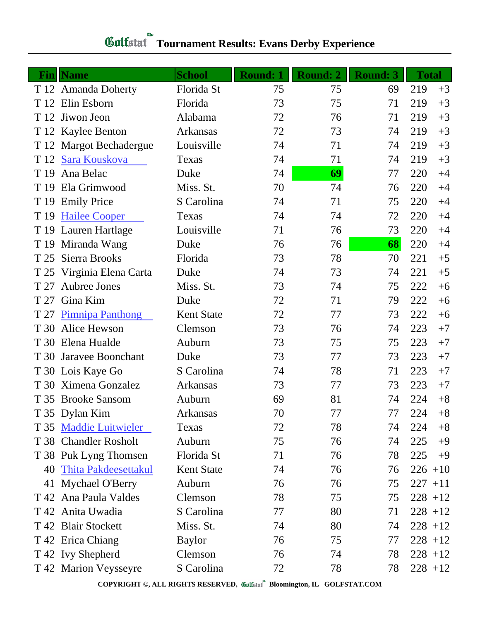| Fin  | <b>Name</b>                 | <b>School</b>     | <b>Round: 1</b> | <b>Round: 2</b> | <b>Round: 3</b> | <b>Total</b> |            |
|------|-----------------------------|-------------------|-----------------|-----------------|-----------------|--------------|------------|
|      | T 12 Amanda Doherty         | Florida St        | 75              | 75              | 69              | 219          | $+3$       |
|      | T 12 Elin Esborn            | Florida           | 73              | 75              | 71              | 219          | $+3$       |
| T 12 | Jiwon Jeon                  | Alabama           | 72              | 76              | 71              | 219          | $+3$       |
|      | T 12 Kaylee Benton          | Arkansas          | 72              | 73              | 74              | 219          | $+3$       |
|      | T 12 Margot Bechadergue     | Louisville        | 74              | 71              | 74              | 219          | $+3$       |
|      | T 12 Sara Kouskova          | Texas             | 74              | 71              | 74              | 219          | $+3$       |
| T 19 | Ana Belac                   | Duke              | 74              | 69              | 77              | 220          | $+4$       |
| T 19 | Ela Grimwood                | Miss. St.         | 70              | 74              | 76              | 220          | $+4$       |
| T 19 | <b>Emily Price</b>          | S Carolina        | 74              | 71              | 75              | 220          | $+4$       |
| T 19 | <b>Hailee Cooper</b>        | Texas             | 74              | 74              | 72              | 220          | $+4$       |
|      | T 19 Lauren Hartlage        | Louisville        | 71              | 76              | 73              | 220          | $+4$       |
|      | T 19 Miranda Wang           | Duke              | 76              | 76              | 68              | 220          | $+4$       |
| T 25 | Sierra Brooks               | Florida           | 73              | 78              | 70              | 221          | $+5$       |
|      | T 25 Virginia Elena Carta   | Duke              | 74              | 73              | 74              | 221          | $+5$       |
| T 27 | Aubree Jones                | Miss. St.         | 73              | 74              | 75              | 222          | $+6$       |
| T 27 | Gina Kim                    | Duke              | 72              | 71              | 79              | 222          | $+6$       |
| T 27 | <b>Pimnipa Panthong</b>     | <b>Kent State</b> | 72              | 77              | 73              | 222          | $+6$       |
|      | T 30 Alice Hewson           | Clemson           | 73              | 76              | 74              | 223          | $+7$       |
|      | T 30 Elena Hualde           | Auburn            | 73              | 75              | 75              | 223          | $+7$       |
| T 30 | Jaravee Boonchant           | Duke              | 73              | 77              | 73              | 223          | $+7$       |
|      | T 30 Lois Kaye Go           | S Carolina        | 74              | 78              | 71              | 223          | $+7$       |
|      | T 30 Ximena Gonzalez        | Arkansas          | 73              | 77              | 73              | 223          | $+7$       |
|      | T 35 Brooke Sansom          | Auburn            | 69              | 81              | 74              | 224          | $+8$       |
|      | T 35 Dylan Kim              | Arkansas          | 70              | 77              | 77              | 224          | $+8$       |
|      | T 35 Maddie Luitwieler      | Texas             | 72              | 78              | 74              | 224          | $+8$       |
|      | T 38 Chandler Rosholt       | Auburn            | 75              | 76              | 74              | 225          | $+9$       |
|      | T 38 Puk Lyng Thomsen       | Florida St        | 71              | 76              | 78              | 225          | $+9$       |
| 40   | <b>Thita Pakdeesettakul</b> | <b>Kent State</b> | 74              | 76              | 76              |              | $226 + 10$ |
|      | 41 Mychael O'Berry          | Auburn            | 76              | 76              | 75              |              | $227 + 11$ |
|      | T 42 Ana Paula Valdes       | Clemson           | 78              | 75              | 75              |              | $228 + 12$ |
|      | T 42 Anita Uwadia           | S Carolina        | 77              | 80              | 71              |              | $228 + 12$ |
|      | T 42 Blair Stockett         | Miss. St.         | 74              | 80              | 74              |              | $228 + 12$ |
|      | T 42 Erica Chiang           | <b>Baylor</b>     | 76              | 75              | 77              |              | $228 + 12$ |
|      | T 42 Ivy Shepherd           | Clemson           | 76              | 74              | 78              |              | $228 + 12$ |
|      | T 42 Marion Veysseyre       | S Carolina        | 72              | 78              | 78              |              | $228 + 12$ |

# **Colfulation Commanding Commanding Commanding Commanding Commanding Commanding Commanding Commanding Commanding Commanding Commanding Commanding Commanding Commanding Commanding Commanding Commanding Commanding Commanding**

**COPYRIGHT ©, ALL RIGHTS RESERVED, Bloomington, IL GOLFSTAT.COM**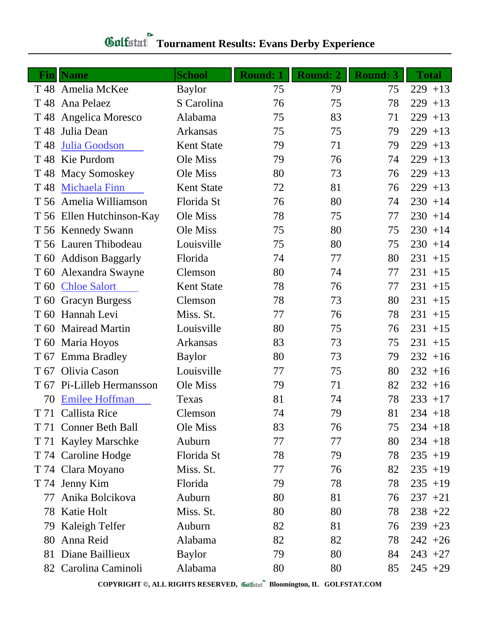|                 | <b>Fin</b>   Name         | <b>School</b>     | <b>Round: 1</b> | Round: 2 | <b>Round: 3</b> | <b>Total</b> |
|-----------------|---------------------------|-------------------|-----------------|----------|-----------------|--------------|
|                 | T 48 Amelia McKee         | <b>Baylor</b>     | 75              | 79       | 75              | $229 + 13$   |
| T 48            | Ana Pelaez                | S Carolina        | 76              | 75       | 78              | 229<br>$+13$ |
|                 | T 48 Angelica Moresco     | Alabama           | 75              | 83       | 71              | 229<br>$+13$ |
| T 48            | Julia Dean                | <b>Arkansas</b>   | 75              | 75       | 79              | 229<br>$+13$ |
| T 48            | Julia Goodson             | <b>Kent State</b> | 79              | 71       | 79              | 229<br>$+13$ |
|                 | T 48 Kie Purdom           | Ole Miss          | 79              | 76       | 74              | 229<br>$+13$ |
| T 48            | <b>Macy Somoskey</b>      | Ole Miss          | 80              | 73       | 76              | 229<br>$+13$ |
| T 48            | <b>Michaela Finn</b>      | <b>Kent State</b> | 72              | 81       | 76              | $229 + 13$   |
|                 | T 56 Amelia Williamson    | Florida St        | 76              | 80       | 74              | $230 + 14$   |
|                 | T 56 Ellen Hutchinson-Kay | Ole Miss          | 78              | 75       | 77              | $230 + 14$   |
|                 | T 56 Kennedy Swann        | Ole Miss          | 75              | 80       | 75              | $230 + 14$   |
|                 | T 56 Lauren Thibodeau     | Louisville        | 75              | 80       | 75              | $230 + 14$   |
|                 | T 60 Addison Baggarly     | Florida           | 74              | 77       | 80              | $231 + 15$   |
|                 | T 60 Alexandra Swayne     | Clemson           | 80              | 74       | 77              | $231 + 15$   |
| T <sub>60</sub> | <b>Chloe Salort</b>       | <b>Kent State</b> | 78              | 76       | 77              | $231 + 15$   |
| T 60            | <b>Gracyn Burgess</b>     | Clemson           | 78              | 73       | 80              | $231 + 15$   |
| T <sub>60</sub> | Hannah Levi               | Miss. St.         | 77              | 76       | 78              | $231 + 15$   |
| T 60            | <b>Mairead Martin</b>     | Louisville        | 80              | 75       | 76              | $231 + 15$   |
| T 60            | Maria Hoyos               | <b>Arkansas</b>   | 83              | 73       | 75              | $231 + 15$   |
| T 67            | <b>Emma Bradley</b>       | <b>Baylor</b>     | 80              | 73       | 79              | $232 + 16$   |
| T 67            | Olivia Cason              | Louisville        | 77              | 75       | 80              | $232 + 16$   |
| T 67            | Pi-Lilleb Hermansson      | Ole Miss          | 79              | 71       | 82              | $232 + 16$   |
| 70              | <b>Emilee Hoffman</b>     | Texas             | 81              | 74       | 78              | $233 + 17$   |
|                 | T 71 Callista Rice        | Clemson           | 74              | 79       | 81              | $234 + 18$   |
|                 | T 71 Conner Beth Ball     | Ole Miss          | 83              | 76       | 75              | $234 + 18$   |
|                 | T 71 Kayley Marschke      | Auburn            | 77              | 77       | 80              | $234 + 18$   |
|                 | T 74 Caroline Hodge       | Florida St        | 78              | 79       | 78              | $235 + 19$   |
|                 | T 74 Clara Moyano         | Miss. St.         | 77              | 76       | 82              | $235 + 19$   |
|                 | T 74 Jenny Kim            | Florida           | 79              | 78       | 78              | $235 + 19$   |
| 77              | Anika Bolcikova           | Auburn            | 80              | 81       | 76              | $237 +21$    |
| 78              | Katie Holt                | Miss. St.         | 80              | 80       | 78              | $238 + 22$   |
| 79              | Kaleigh Telfer            | Auburn            | 82              | 81       | 76              | $239 + 23$   |
| 80              | Anna Reid                 | Alabama           | 82              | 82       | 78              | $242 + 26$   |
| 81              | Diane Baillieux           | <b>Baylor</b>     | 79              | 80       | 84              | $243 + 27$   |
|                 | 82 Carolina Caminoli      | Alabama           | 80              | 80       | 85              | $245 +29$    |

# **Gulfatat** Tournament Results: Evans Derby Experience